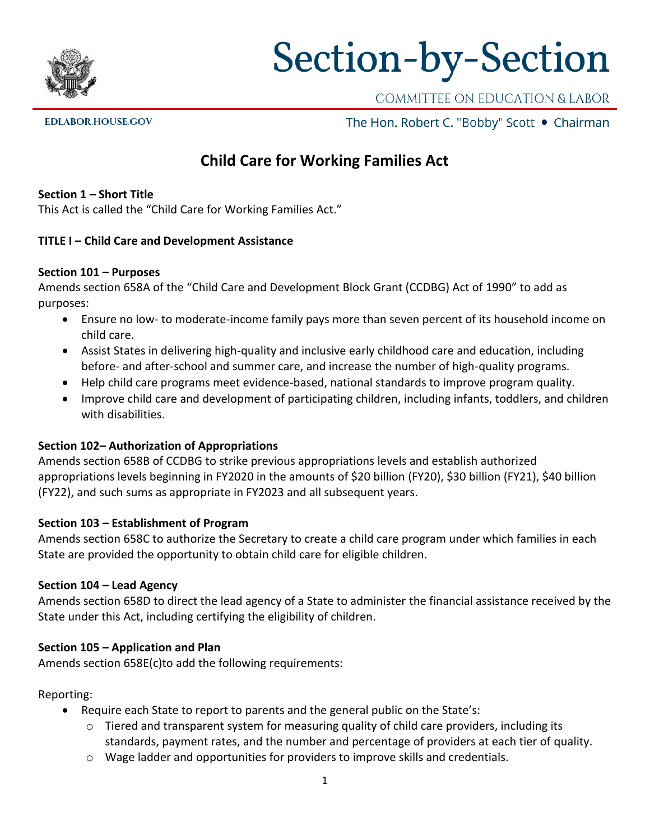

# Section-by-Section

COMMITTEE ON EDUCATION & LABOR

**EDLABOR.HOUSE.GOV** 

The Hon. Robert C. "Bobby" Scott . Chairman

# **Child Care for Working Families Act**

#### **Section 1 – Short Title**

This Act is called the "Child Care for Working Families Act."

#### **TITLE I – Child Care and Development Assistance**

#### **Section 101 – Purposes**

Amends section 658A of the "Child Care and Development Block Grant (CCDBG) Act of 1990" to add as purposes:

- Ensure no low- to moderate-income family pays more than seven percent of its household income on child care.
- Assist States in delivering high-quality and inclusive early childhood care and education, including before- and after-school and summer care, and increase the number of high-quality programs.
- Help child care programs meet evidence-based, national standards to improve program quality.
- Improve child care and development of participating children, including infants, toddlers, and children with disabilities.

#### **Section 102– Authorization of Appropriations**

Amends section 658B of CCDBG to strike previous appropriations levels and establish authorized appropriations levels beginning in FY2020 in the amounts of \$20 billion (FY20), \$30 billion (FY21), \$40 billion (FY22), and such sums as appropriate in FY2023 and all subsequent years.

#### **Section 103 – Establishment of Program**

Amends section 658C to authorize the Secretary to create a child care program under which families in each State are provided the opportunity to obtain child care for eligible children.

#### **Section 104 – Lead Agency**

Amends section 658D to direct the lead agency of a State to administer the financial assistance received by the State under this Act, including certifying the eligibility of children.

#### **Section 105 – Application and Plan**

Amends section 658E(c)to add the following requirements:

#### Reporting:

- Require each State to report to parents and the general public on the State's:
	- $\circ$  Tiered and transparent system for measuring quality of child care providers, including its standards, payment rates, and the number and percentage of providers at each tier of quality.
	- $\circ$  Wage ladder and opportunities for providers to improve skills and credentials.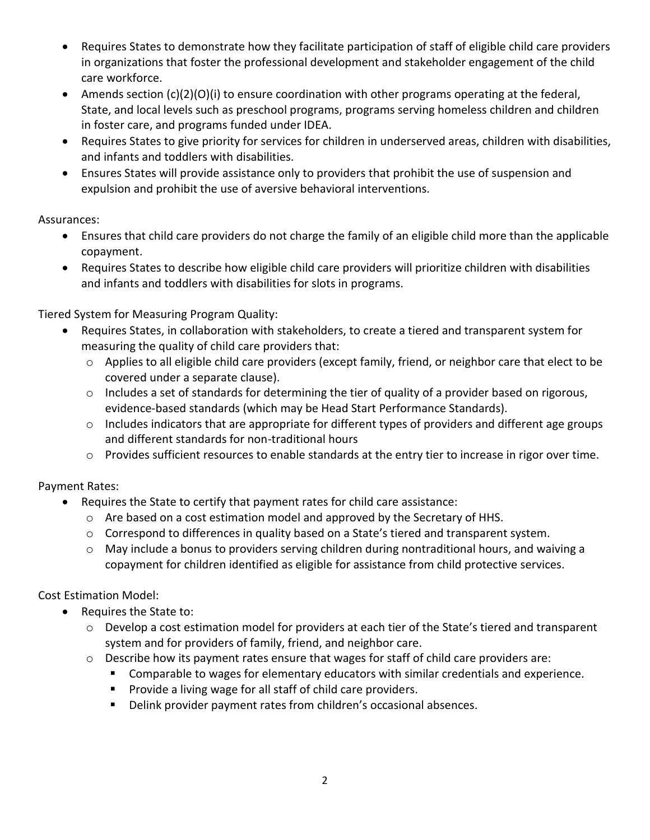- Requires States to demonstrate how they facilitate participation of staff of eligible child care providers in organizations that foster the professional development and stakeholder engagement of the child care workforce.
- Amends section  $(c)(2)(0)(i)$  to ensure coordination with other programs operating at the federal, State, and local levels such as preschool programs, programs serving homeless children and children in foster care, and programs funded under IDEA.
- Requires States to give priority for services for children in underserved areas, children with disabilities, and infants and toddlers with disabilities.
- Ensures States will provide assistance only to providers that prohibit the use of suspension and expulsion and prohibit the use of aversive behavioral interventions.

# Assurances:

- Ensures that child care providers do not charge the family of an eligible child more than the applicable copayment.
- Requires States to describe how eligible child care providers will prioritize children with disabilities and infants and toddlers with disabilities for slots in programs.

Tiered System for Measuring Program Quality:

- Requires States, in collaboration with stakeholders, to create a tiered and transparent system for measuring the quality of child care providers that:
	- o Applies to all eligible child care providers (except family, friend, or neighbor care that elect to be covered under a separate clause).
	- $\circ$  Includes a set of standards for determining the tier of quality of a provider based on rigorous, evidence-based standards (which may be Head Start Performance Standards).
	- o Includes indicators that are appropriate for different types of providers and different age groups and different standards for non-traditional hours
	- o Provides sufficient resources to enable standards at the entry tier to increase in rigor over time.

# Payment Rates:

- Requires the State to certify that payment rates for child care assistance:
	- $\circ$  Are based on a cost estimation model and approved by the Secretary of HHS.
	- $\circ$  Correspond to differences in quality based on a State's tiered and transparent system.
	- o May include a bonus to providers serving children during nontraditional hours, and waiving a copayment for children identified as eligible for assistance from child protective services.

Cost Estimation Model:

- Requires the State to:
	- o Develop a cost estimation model for providers at each tier of the State's tiered and transparent system and for providers of family, friend, and neighbor care.
	- o Describe how its payment rates ensure that wages for staff of child care providers are:
		- Comparable to wages for elementary educators with similar credentials and experience.
		- Provide a living wage for all staff of child care providers.
		- Delink provider payment rates from children's occasional absences.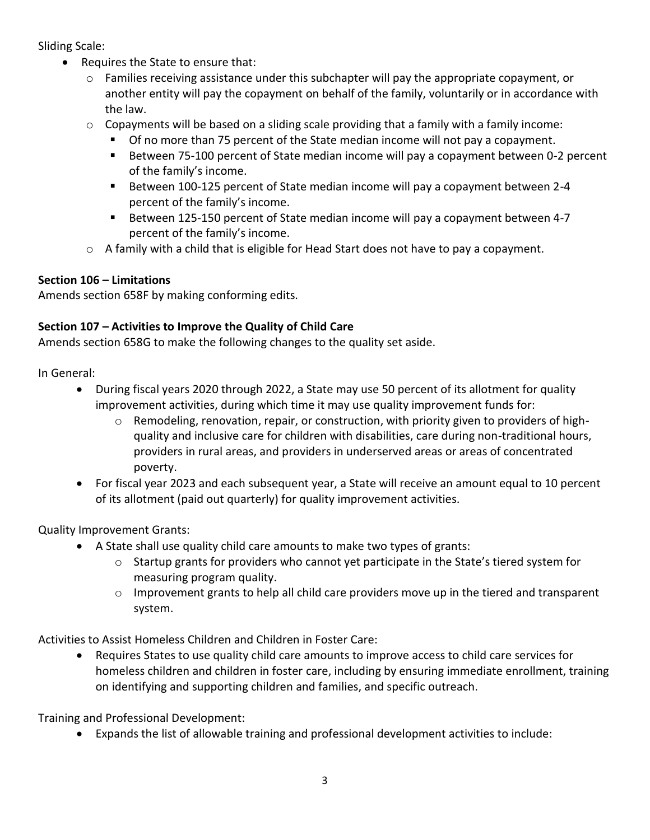Sliding Scale:

- Requires the State to ensure that:
	- $\circ$  Families receiving assistance under this subchapter will pay the appropriate copayment, or another entity will pay the copayment on behalf of the family, voluntarily or in accordance with the law.
	- $\circ$  Copayments will be based on a sliding scale providing that a family with a family income:
		- Of no more than 75 percent of the State median income will not pay a copayment.
		- Between 75-100 percent of State median income will pay a copayment between 0-2 percent of the family's income.
		- Between 100-125 percent of State median income will pay a copayment between 2-4 percent of the family's income.
		- Between 125-150 percent of State median income will pay a copayment between 4-7 percent of the family's income.
	- $\circ$  A family with a child that is eligible for Head Start does not have to pay a copayment.

# **Section 106 – Limitations**

Amends section 658F by making conforming edits.

# **Section 107 – Activities to Improve the Quality of Child Care**

Amends section 658G to make the following changes to the quality set aside.

In General:

- During fiscal years 2020 through 2022, a State may use 50 percent of its allotment for quality improvement activities, during which time it may use quality improvement funds for:
	- $\circ$  Remodeling, renovation, repair, or construction, with priority given to providers of highquality and inclusive care for children with disabilities, care during non-traditional hours, providers in rural areas, and providers in underserved areas or areas of concentrated poverty.
- For fiscal year 2023 and each subsequent year, a State will receive an amount equal to 10 percent of its allotment (paid out quarterly) for quality improvement activities.

Quality Improvement Grants:

- A State shall use quality child care amounts to make two types of grants:
	- $\circ$  Startup grants for providers who cannot yet participate in the State's tiered system for measuring program quality.
	- $\circ$  Improvement grants to help all child care providers move up in the tiered and transparent system.

Activities to Assist Homeless Children and Children in Foster Care:

• Requires States to use quality child care amounts to improve access to child care services for homeless children and children in foster care, including by ensuring immediate enrollment, training on identifying and supporting children and families, and specific outreach.

Training and Professional Development:

• Expands the list of allowable training and professional development activities to include: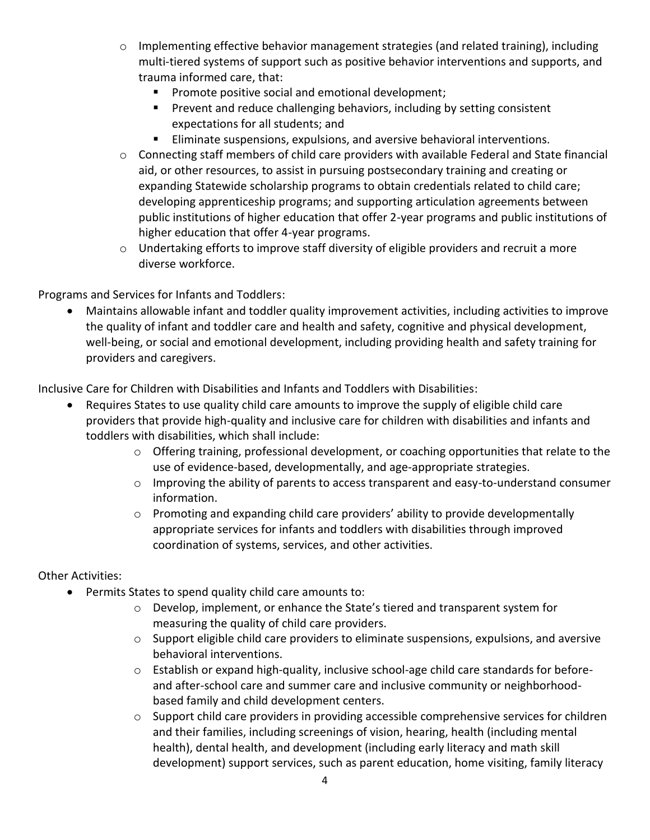- o Implementing effective behavior management strategies (and related training), including multi-tiered systems of support such as positive behavior interventions and supports, and trauma informed care, that:
	- Promote positive social and emotional development;
	- **•** Prevent and reduce challenging behaviors, including by setting consistent expectations for all students; and
	- Eliminate suspensions, expulsions, and aversive behavioral interventions.
- o Connecting staff members of child care providers with available Federal and State financial aid, or other resources, to assist in pursuing postsecondary training and creating or expanding Statewide scholarship programs to obtain credentials related to child care; developing apprenticeship programs; and supporting articulation agreements between public institutions of higher education that offer 2-year programs and public institutions of higher education that offer 4-year programs.
- o Undertaking efforts to improve staff diversity of eligible providers and recruit a more diverse workforce.

Programs and Services for Infants and Toddlers:

• Maintains allowable infant and toddler quality improvement activities, including activities to improve the quality of infant and toddler care and health and safety, cognitive and physical development, well-being, or social and emotional development, including providing health and safety training for providers and caregivers.

Inclusive Care for Children with Disabilities and Infants and Toddlers with Disabilities:

- Requires States to use quality child care amounts to improve the supply of eligible child care providers that provide high-quality and inclusive care for children with disabilities and infants and toddlers with disabilities, which shall include:
	- $\circ$  Offering training, professional development, or coaching opportunities that relate to the use of evidence-based, developmentally, and age-appropriate strategies.
	- $\circ$  Improving the ability of parents to access transparent and easy-to-understand consumer information.
	- $\circ$  Promoting and expanding child care providers' ability to provide developmentally appropriate services for infants and toddlers with disabilities through improved coordination of systems, services, and other activities.

# Other Activities:

- Permits States to spend quality child care amounts to:
	- $\circ$  Develop, implement, or enhance the State's tiered and transparent system for measuring the quality of child care providers.
	- $\circ$  Support eligible child care providers to eliminate suspensions, expulsions, and aversive behavioral interventions.
	- o Establish or expand high-quality, inclusive school-age child care standards for beforeand after-school care and summer care and inclusive community or neighborhoodbased family and child development centers.
	- o Support child care providers in providing accessible comprehensive services for children and their families, including screenings of vision, hearing, health (including mental health), dental health, and development (including early literacy and math skill development) support services, such as parent education, home visiting, family literacy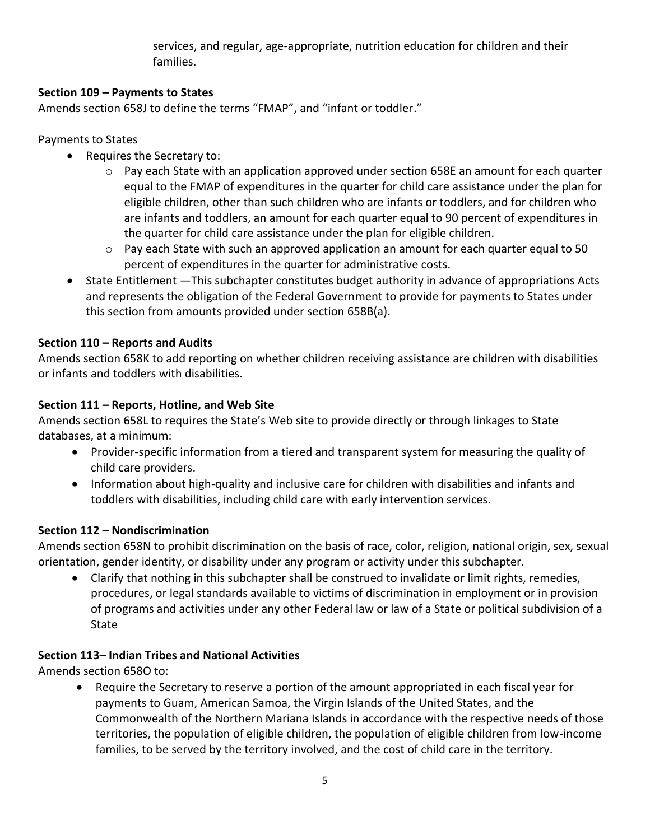services, and regular, age-appropriate, nutrition education for children and their families.

# **Section 109 – Payments to States**

Amends section 658J to define the terms "FMAP", and "infant or toddler."

# Payments to States

- Requires the Secretary to:
	- $\circ$  Pay each State with an application approved under section 658E an amount for each quarter equal to the FMAP of expenditures in the quarter for child care assistance under the plan for eligible children, other than such children who are infants or toddlers, and for children who are infants and toddlers, an amount for each quarter equal to 90 percent of expenditures in the quarter for child care assistance under the plan for eligible children.
	- $\circ$  Pay each State with such an approved application an amount for each quarter equal to 50 percent of expenditures in the quarter for administrative costs.
- State Entitlement —This subchapter constitutes budget authority in advance of appropriations Acts and represents the obligation of the Federal Government to provide for payments to States under this section from amounts provided under section 658B(a).

# **Section 110 – Reports and Audits**

Amends section 658K to add reporting on whether children receiving assistance are children with disabilities or infants and toddlers with disabilities.

# **Section 111 – Reports, Hotline, and Web Site**

Amends section 658L to requires the State's Web site to provide directly or through linkages to State databases, at a minimum:

- Provider-specific information from a tiered and transparent system for measuring the quality of child care providers.
- Information about high-quality and inclusive care for children with disabilities and infants and toddlers with disabilities, including child care with early intervention services.

# **Section 112 – Nondiscrimination**

Amends section 658N to prohibit discrimination on the basis of race, color, religion, national origin, sex, sexual orientation, gender identity, or disability under any program or activity under this subchapter.

• Clarify that nothing in this subchapter shall be construed to invalidate or limit rights, remedies, procedures, or legal standards available to victims of discrimination in employment or in provision of programs and activities under any other Federal law or law of a State or political subdivision of a State

# **Section 113– Indian Tribes and National Activities**

Amends section 658O to:

• Require the Secretary to reserve a portion of the amount appropriated in each fiscal year for payments to Guam, American Samoa, the Virgin Islands of the United States, and the Commonwealth of the Northern Mariana Islands in accordance with the respective needs of those territories, the population of eligible children, the population of eligible children from low-income families, to be served by the territory involved, and the cost of child care in the territory.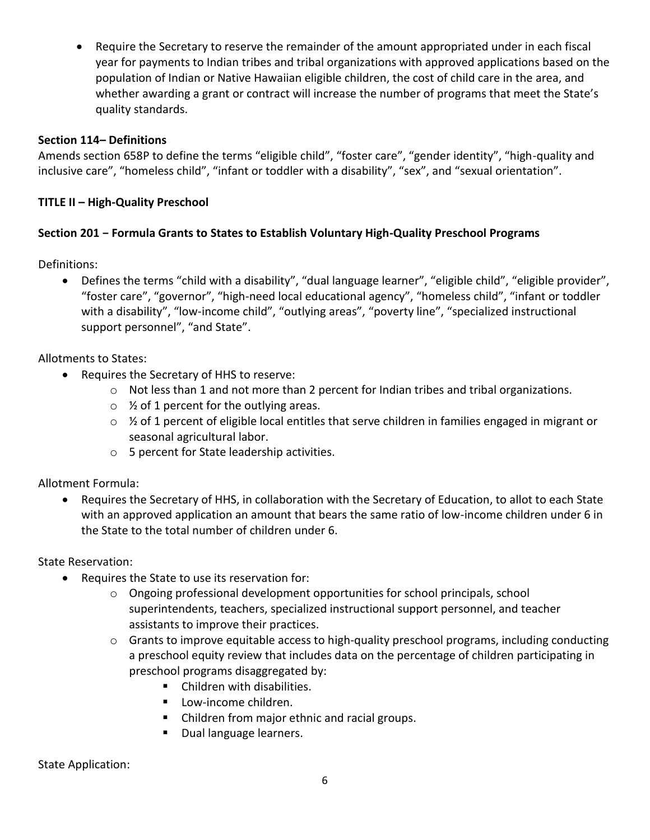• Require the Secretary to reserve the remainder of the amount appropriated under in each fiscal year for payments to Indian tribes and tribal organizations with approved applications based on the population of Indian or Native Hawaiian eligible children, the cost of child care in the area, and whether awarding a grant or contract will increase the number of programs that meet the State's quality standards.

#### **Section 114– Definitions**

Amends section 658P to define the terms "eligible child", "foster care", "gender identity", "high-quality and inclusive care", "homeless child", "infant or toddler with a disability", "sex", and "sexual orientation".

#### **TITLE II – High-Quality Preschool**

#### **Section 201 − Formula Grants to States to Establish Voluntary High-Quality Preschool Programs**

Definitions:

• Defines the terms "child with a disability", "dual language learner", "eligible child", "eligible provider", "foster care", "governor", "high-need local educational agency", "homeless child", "infant or toddler with a disability", "low-income child", "outlying areas", "poverty line", "specialized instructional support personnel", "and State".

Allotments to States:

- Requires the Secretary of HHS to reserve:
	- o Not less than 1 and not more than 2 percent for Indian tribes and tribal organizations.
	- $\circ$  % of 1 percent for the outlying areas.
	- $\circ$  % of 1 percent of eligible local entitles that serve children in families engaged in migrant or seasonal agricultural labor.
	- o 5 percent for State leadership activities.

Allotment Formula:

• Requires the Secretary of HHS, in collaboration with the Secretary of Education, to allot to each State with an approved application an amount that bears the same ratio of low-income children under 6 in the State to the total number of children under 6.

State Reservation:

- Requires the State to use its reservation for:
	- $\circ$  Ongoing professional development opportunities for school principals, school superintendents, teachers, specialized instructional support personnel, and teacher assistants to improve their practices.
	- o Grants to improve equitable access to high-quality preschool programs, including conducting a preschool equity review that includes data on the percentage of children participating in preschool programs disaggregated by:
		- Children with disabilities.
		- Low-income children.
		- Children from major ethnic and racial groups.
		- Dual language learners.

State Application: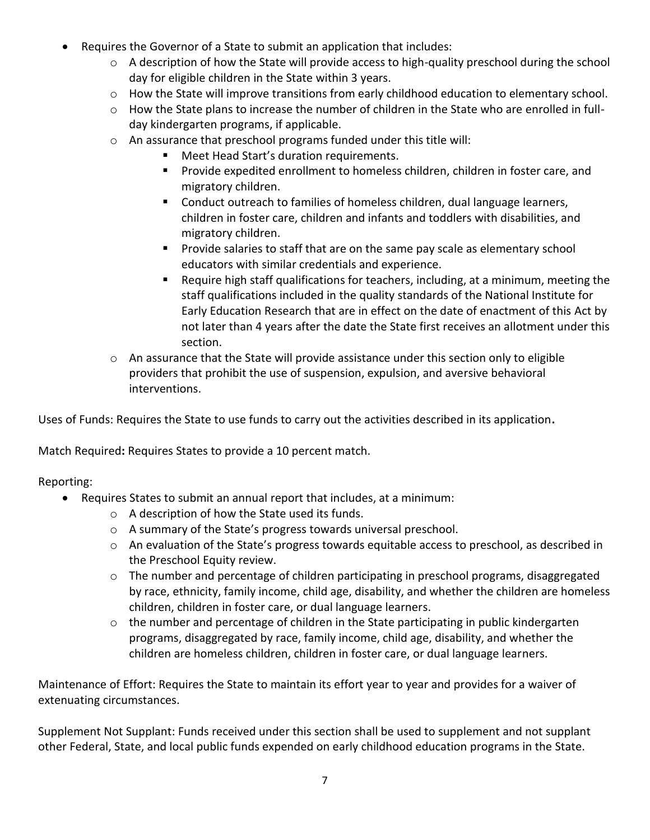- Requires the Governor of a State to submit an application that includes:
	- o A description of how the State will provide access to high-quality preschool during the school day for eligible children in the State within 3 years.
	- $\circ$  How the State will improve transitions from early childhood education to elementary school.
	- o How the State plans to increase the number of children in the State who are enrolled in fullday kindergarten programs, if applicable.
	- o An assurance that preschool programs funded under this title will:
		- Meet Head Start's duration requirements.
		- Provide expedited enrollment to homeless children, children in foster care, and migratory children.
		- Conduct outreach to families of homeless children, dual language learners, children in foster care, children and infants and toddlers with disabilities, and migratory children.
		- **•** Provide salaries to staff that are on the same pay scale as elementary school educators with similar credentials and experience.
		- Require high staff qualifications for teachers, including, at a minimum, meeting the staff qualifications included in the quality standards of the National Institute for Early Education Research that are in effect on the date of enactment of this Act by not later than 4 years after the date the State first receives an allotment under this section.
	- $\circ$  An assurance that the State will provide assistance under this section only to eligible providers that prohibit the use of suspension, expulsion, and aversive behavioral interventions.

Uses of Funds: Requires the State to use funds to carry out the activities described in its application**.** 

Match Required**:** Requires States to provide a 10 percent match.

Reporting:

- Requires States to submit an annual report that includes, at a minimum:
	- o A description of how the State used its funds.
	- o A summary of the State's progress towards universal preschool.
	- $\circ$  An evaluation of the State's progress towards equitable access to preschool, as described in the Preschool Equity review.
	- $\circ$  The number and percentage of children participating in preschool programs, disaggregated by race, ethnicity, family income, child age, disability, and whether the children are homeless children, children in foster care, or dual language learners.
	- o the number and percentage of children in the State participating in public kindergarten programs, disaggregated by race, family income, child age, disability, and whether the children are homeless children, children in foster care, or dual language learners.

Maintenance of Effort: Requires the State to maintain its effort year to year and provides for a waiver of extenuating circumstances.

Supplement Not Supplant: Funds received under this section shall be used to supplement and not supplant other Federal, State, and local public funds expended on early childhood education programs in the State.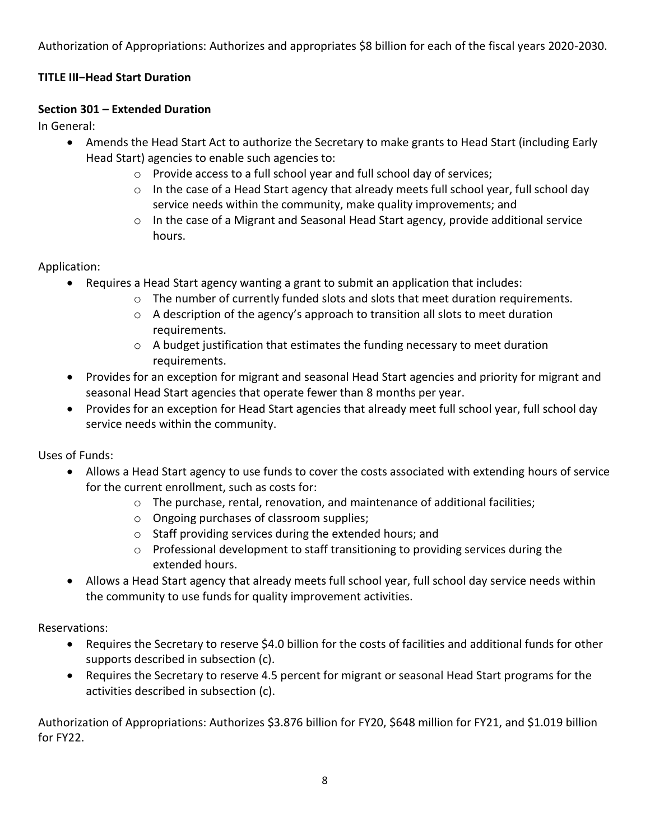Authorization of Appropriations: Authorizes and appropriates \$8 billion for each of the fiscal years 2020-2030.

# **TITLE III−Head Start Duration**

# **Section 301 – Extended Duration**

In General:

- Amends the Head Start Act to authorize the Secretary to make grants to Head Start (including Early Head Start) agencies to enable such agencies to:
	- o Provide access to a full school year and full school day of services;
	- $\circ$  In the case of a Head Start agency that already meets full school year, full school day service needs within the community, make quality improvements; and
	- o In the case of a Migrant and Seasonal Head Start agency, provide additional service hours.

Application:

- Requires a Head Start agency wanting a grant to submit an application that includes:
	- $\circ$  The number of currently funded slots and slots that meet duration requirements.
	- o A description of the agency's approach to transition all slots to meet duration requirements.
	- $\circ$  A budget justification that estimates the funding necessary to meet duration requirements.
- Provides for an exception for migrant and seasonal Head Start agencies and priority for migrant and seasonal Head Start agencies that operate fewer than 8 months per year.
- Provides for an exception for Head Start agencies that already meet full school year, full school day service needs within the community.

Uses of Funds:

- Allows a Head Start agency to use funds to cover the costs associated with extending hours of service for the current enrollment, such as costs for:
	- $\circ$  The purchase, rental, renovation, and maintenance of additional facilities;
	- o Ongoing purchases of classroom supplies;
	- o Staff providing services during the extended hours; and
	- $\circ$  Professional development to staff transitioning to providing services during the extended hours.
- Allows a Head Start agency that already meets full school year, full school day service needs within the community to use funds for quality improvement activities.

Reservations:

- Requires the Secretary to reserve \$4.0 billion for the costs of facilities and additional funds for other supports described in subsection (c).
- Requires the Secretary to reserve 4.5 percent for migrant or seasonal Head Start programs for the activities described in subsection (c).

Authorization of Appropriations: Authorizes \$3.876 billion for FY20, \$648 million for FY21, and \$1.019 billion for FY22.